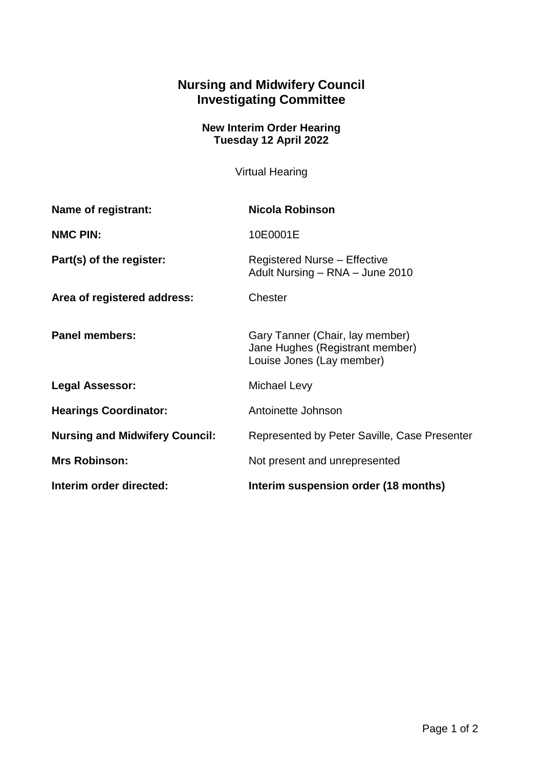## **Nursing and Midwifery Council Investigating Committee**

## **New Interim Order Hearing Tuesday 12 April 2022**

Virtual Hearing

| <b>Name of registrant:</b>            | Nicola Robinson                                                                                 |
|---------------------------------------|-------------------------------------------------------------------------------------------------|
| <b>NMC PIN:</b>                       | 10E0001E                                                                                        |
| Part(s) of the register:              | <b>Registered Nurse - Effective</b><br>Adult Nursing - RNA - June 2010                          |
| Area of registered address:           | Chester                                                                                         |
| <b>Panel members:</b>                 | Gary Tanner (Chair, lay member)<br>Jane Hughes (Registrant member)<br>Louise Jones (Lay member) |
| <b>Legal Assessor:</b>                | Michael Levy                                                                                    |
| <b>Hearings Coordinator:</b>          | Antoinette Johnson                                                                              |
| <b>Nursing and Midwifery Council:</b> | Represented by Peter Saville, Case Presenter                                                    |
| <b>Mrs Robinson:</b>                  | Not present and unrepresented                                                                   |
| Interim order directed:               | Interim suspension order (18 months)                                                            |